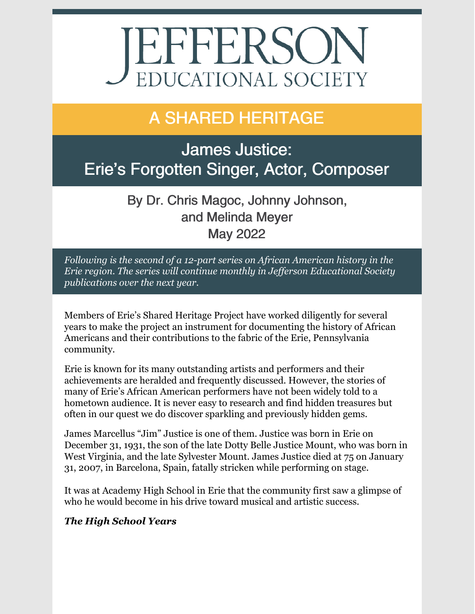# **JEFFERSON** EDUCATIONAL SOCIETY

# A SHARED HERITAGE

James Justice: Erie's Forgotten Singer, Actor, Composer

> By Dr. Chris Magoc, Johnny Johnson, and Melinda Meyer May 2022

*Following is the second of a 12-part series on African American history in the Erie region. The series will continue monthly in Jef erson Educational Society publications over the next year.*

Members of Erie's Shared Heritage Project have worked diligently for several years to make the project an instrument for documenting the history of African Americans and their contributions to the fabric of the Erie, Pennsylvania community.

Erie is known for its many outstanding artists and performers and their achievements are heralded and frequently discussed. However, the stories of many of Erie's African American performers have not been widely told to a hometown audience. It is never easy to research and find hidden treasures but often in our quest we do discover sparkling and previously hidden gems.

James Marcellus "Jim" Justice is one of them. Justice was born in Erie on December 31, 1931, the son of the late Dotty Belle Justice Mount, who was born in West Virginia, and the late Sylvester Mount. James Justice died at 75 on January 31, 2007, in Barcelona, Spain, fatally stricken while performing on stage.

It was at Academy High School in Erie that the community first saw a glimpse of who he would become in his drive toward musical and artistic success.

## *The High School Years*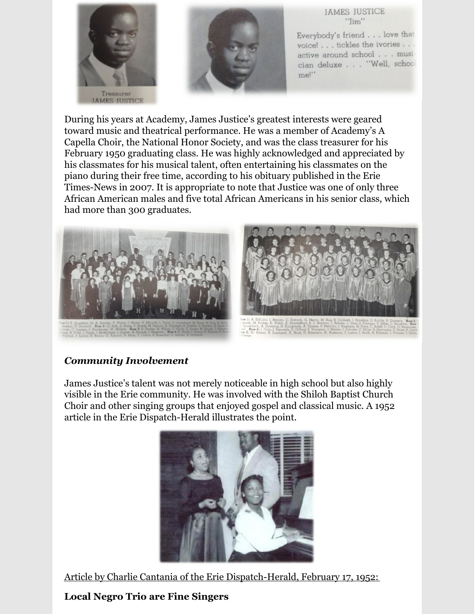



**JAMES JUSTICE** "Iim"

Everybody's friend . . . love that voice! . . . tickles the ivories . . . active around school . . . musician deluxe . . . "Well, school me!"

During his years at Academy, James Justice's greatest interests were geared toward music and theatrical performance. He was a member of Academy's A Capella Choir, the National Honor Society, and was the class treasurer for his February 1950 graduating class. He was highly acknowledged and appreciated by his classmates for his musical talent, often entertaining his classmates on the piano during their free time, according to his obituary published in the Erie Times-News in 2007. It is appropriate to note that Justice was one of only three African American males and five total African Americans in his senior class, which had more than 300 graduates.



#### *Community Involvement*

James Justice's talent was not merely noticeable in high school but also highly visible in the Erie community. He was involved with the Shiloh Baptist Church Choir and other singing groups that enjoyed gospel and classical music. A 1952 article in the Erie Dispatch-Herald illustrates the point.



Article by Charlie Cantania of the Erie Dispatch-Herald, February 17, 1952:

## **Local Negro Trio are Fine Singers**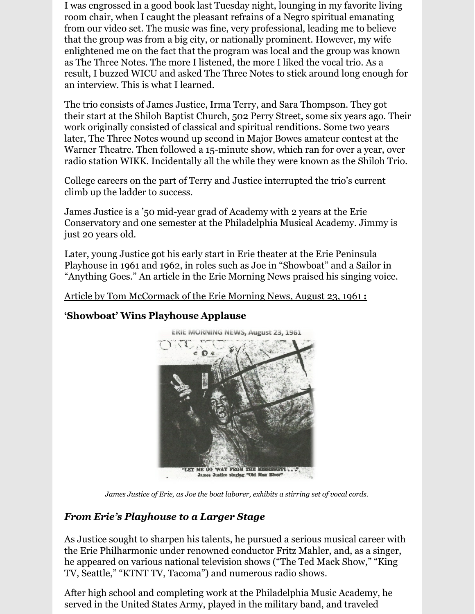I was engrossed in a good book last Tuesday night, lounging in my favorite living room chair, when I caught the pleasant refrains of a Negro spiritual emanating from our video set. The music was fine, very professional, leading me to believe that the group was from a big city, or nationally prominent. However, my wife enlightened me on the fact that the program was local and the group was known as The Three Notes. The more I listened, the more I liked the vocal trio. As a result, I buzzed WICU and asked The Three Notes to stick around long enough for an interview. This is what I learned.

The trio consists of James Justice, Irma Terry, and Sara Thompson. They got their start at the Shiloh Baptist Church, 502 Perry Street, some six years ago. Their work originally consisted of classical and spiritual renditions. Some two years later, The Three Notes wound up second in Major Bowes amateur contest at the Warner Theatre. Then followed a 15-minute show, which ran for over a year, over radio station WIKK. Incidentally all the while they were known as the Shiloh Trio.

College careers on the part of Terry and Justice interrupted the trio's current climb up the ladder to success.

James Justice is a '50 mid-year grad of Academy with 2 years at the Erie Conservatory and one semester at the Philadelphia Musical Academy. Jimmy is just 20 years old.

Later, young Justice got his early start in Erie theater at the Erie Peninsula Playhouse in 1961 and 1962, in roles such as Joe in "Showboat" and a Sailor in "Anything Goes." An article in the Erie Morning News praised his singing voice.

Article by Tom McCormack of the Erie Morning News, August 23, 1961 **:**

### **'Showboat' Wins Playhouse Applause**



*James Justice of Erie, as Joe the boat laborer, exhibits a stirring set of vocal cords.*

### *From Erie's Playhouse to a Larger Stage*

As Justice sought to sharpen his talents, he pursued a serious musical career with the Erie Philharmonic under renowned conductor Fritz Mahler, and, as a singer, he appeared on various national television shows ("The Ted Mack Show," "King TV, Seattle," "KTNT TV, Tacoma") and numerous radio shows.

After high school and completing work at the Philadelphia Music Academy, he served in the United States Army, played in the military band, and traveled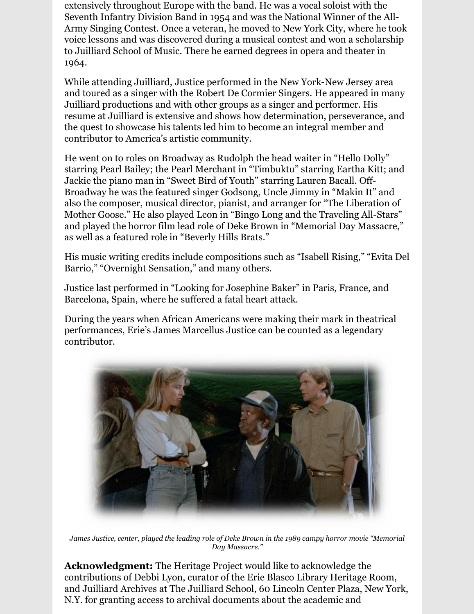extensively throughout Europe with the band. He was a vocal soloist with the Seventh Infantry Division Band in 1954 and was the National Winner of the All-Army Singing Contest. Once a veteran, he moved to New York City, where he took voice lessons and was discovered during a musical contest and won a scholarship to Juilliard School of Music. There he earned degrees in opera and theater in 1964.

While attending Juilliard, Justice performed in the New York-New Jersey area and toured as a singer with the Robert De Cormier Singers. He appeared in many Juilliard productions and with other groups as a singer and performer. His resume at Juilliard is extensive and shows how determination, perseverance, and the quest to showcase his talents led him to become an integral member and contributor to America's artistic community.

He went on to roles on Broadway as Rudolph the head waiter in "Hello Dolly" starring Pearl Bailey; the Pearl Merchant in "Timbuktu" starring Eartha Kitt; and Jackie the piano man in "Sweet Bird of Youth" starring Lauren Bacall. Off-Broadway he was the featured singer Godsong, Uncle Jimmy in "Makin It" and also the composer, musical director, pianist, and arranger for "The Liberation of Mother Goose." He also played Leon in "Bingo Long and the Traveling All-Stars" and played the horror film lead role of Deke Brown in "Memorial Day Massacre," as well as a featured role in "Beverly Hills Brats."

His music writing credits include compositions such as "Isabell Rising," "Evita Del Barrio," "Overnight Sensation," and many others.

Justice last performed in "Looking for Josephine Baker" in Paris, France, and Barcelona, Spain, where he suffered a fatal heart attack.

During the years when African Americans were making their mark in theatrical performances, Erie's James Marcellus Justice can be counted as a legendary contributor.



*James Justice, center, played the leading role of Deke Brown in the 1989 campy horror movie "Memorial Day Massacre."*

**Acknowledgment:** The Heritage Project would like to acknowledge the contributions of Debbi Lyon, curator of the Erie Blasco Library Heritage Room, and Juilliard Archives at The Juilliard School, 60 Lincoln Center Plaza, New York, N.Y. for granting access to archival documents about the academic and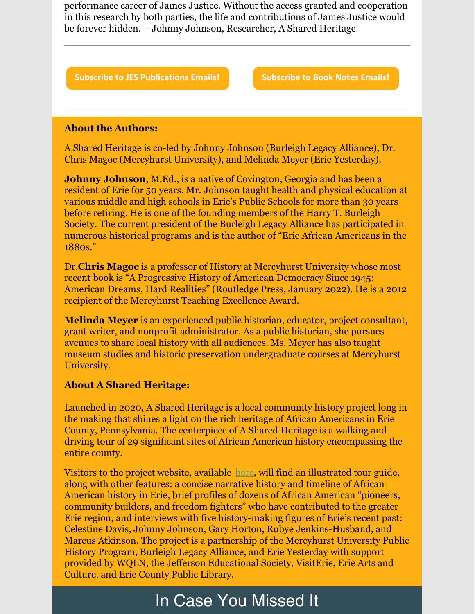performance career of James Justice. Without the access granted and cooperation in this research by both parties, the life and contributions of James Justice would be forever hidden. – Johnny Johnson, Researcher, A Shared Heritage

**Subscribe to JES [Publications](https://lp.constantcontactpages.com/su/OYSOPRt/PublicationsSubscription?source_id=19bc0086-9ba9-4aeb-9287-8f475e152669&source_type=em&c=) Emails! [Subscribe](https://lp.constantcontactpages.com/su/TXbaxH2/BookNotesSubscription?source_id=19bc0086-9ba9-4aeb-9287-8f475e152669&source_type=em&c=) to Book Notes Emails!**

#### **About the Authors:**

A Shared Heritage is co-led by Johnny Johnson (Burleigh Legacy Alliance), Dr. Chris Magoc (Mercyhurst University), and Melinda Meyer (Erie Yesterday).

**Johnny Johnson**, M.Ed., is a native of Covington, Georgia and has been a resident of Erie for 50 years. Mr. Johnson taught health and physical education at various middle and high schools in Erie's Public Schools for more than 30 years before retiring. He is one of the founding members of the Harry T. Burleigh Society. The current president of the Burleigh Legacy Alliance has participated in numerous historical programs and is the author of "Erie African Americans in the 1880s."

Dr.**Chris Magoc** is a professor of History at Mercyhurst University whose most recent book is "A Progressive History of American Democracy Since 1945: American Dreams, Hard Realities" (Routledge Press, January 2022). He is a 2012 recipient of the Mercyhurst Teaching Excellence Award.

**Melinda Meyer** is an experienced public historian, educator, project consultant, grant writer, and nonprofit administrator. As a public historian, she pursues avenues to share local history with all audiences. Ms. Meyer has also taught museum studies and historic preservation undergraduate courses at Mercyhurst University.

#### **About A Shared Heritage:**

Launched in 2020, A Shared Heritage is a local community history project long in the making that shines a light on the rich heritage of African Americans in Erie County, Pennsylvania. The centerpiece of A Shared Heritage is a walking and driving tour of 29 significant sites of African American history encompassing the entire county.

Visitors to the project website, available [here](https://www.sharedheritage.org/), will find an illustrated tour guide, along with other features: a concise narrative history and timeline of African American history in Erie, brief profiles of dozens of African American "pioneers, community builders, and freedom fighters" who have contributed to the greater Erie region, and interviews with five history-making figures of Erie's recent past: Celestine Davis, Johnny Johnson, Gary Horton, Rubye Jenkins-Husband, and Marcus Atkinson. The project is a partnership of the Mercyhurst University Public History Program, Burleigh Legacy Alliance, and Erie Yesterday with support provided by WQLN, the Jefferson Educational Society, VisitErie, Erie Arts and Culture, and Erie County Public Library.

# In Case You Missed It